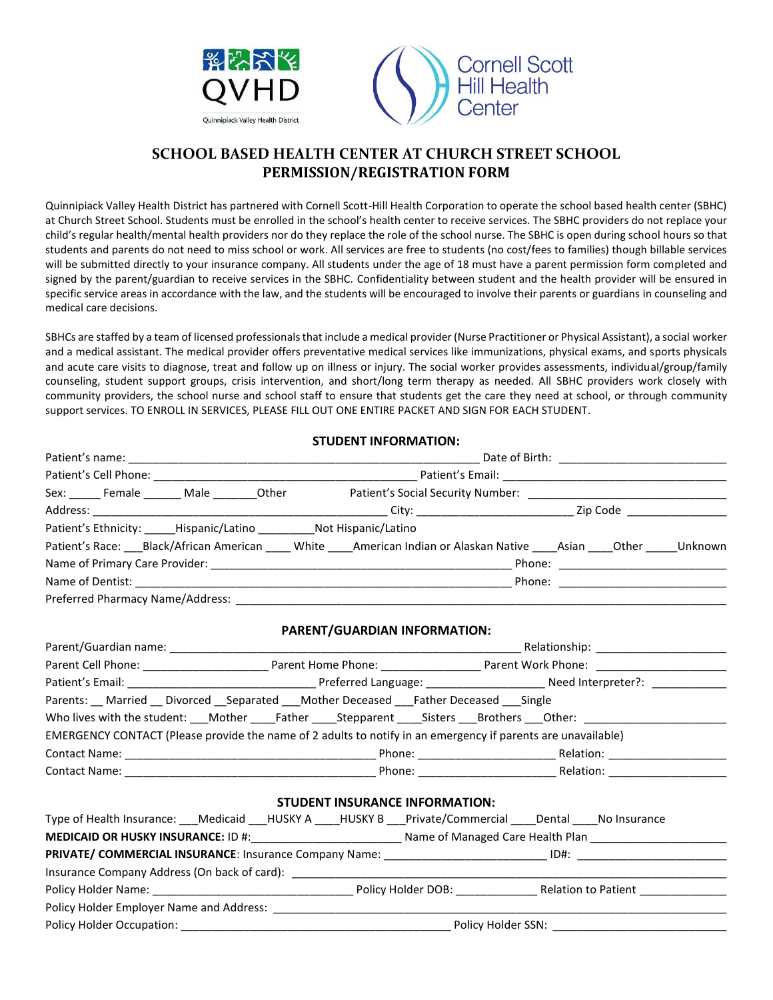



# **SCHOOL BASED HEALTH CENTER AT CHURCH STREET SCHOOL PERMISSION/REGISTRATION FORM**

Quinnipiack Valley Health District has partnered with Cornell Scott-Hill Health Corporation to operate the school based health center (SBHC) at Church Street School. Students must be enrolled in the school's health center to receive services. The SBHC providers do not replace your child's regular health/mental health providers nor do they replace the role of the school nurse. The SBHC is open during school hours so that students and parents do not need to miss school or work. All services are free to students (no cost/fees to families) though billable services will be submitted directly to your insurance company. All students under the age of 18 must have a parent permission form completed and signed by the parent/guardian to receive services in the SBHC. Confidentiality between student and the health provider will be ensured in specific service areas in accordance with the law, and the students will be encouraged to involve their parents or guardians in counseling and medical care decisions.

SBHCs are staffed by a team of licensed professionals that include a medical provider (Nurse Practitioner or Physical Assistant), a social worker and a medical assistant. The medical provider offers preventative medical services like immunizations, physical exams, and sports physicals and acute care visits to diagnose, treat and follow up on illness or injury. The social worker provides assessments, individual/group/family counseling, student support groups, crisis intervention, and short/long term therapy as needed. All SBHC providers work closely with community providers, the school nurse and school staff to ensure that students get the care they need at school, or through community support services. TO ENROLL IN SERVICES, PLEASE FILL OUT ONE ENTIRE PACKET AND SIGN FOR EACH STUDENT.

# **STUDENT INFORMATION:**

|  | Sex: Female Male Other |  |  | Patient's Social Security Number:                                                                                                |  |  |  |
|--|------------------------|--|--|----------------------------------------------------------------------------------------------------------------------------------|--|--|--|
|  |                        |  |  | Zip Code and the control of the control of the control of the control of the control of the control of the con                   |  |  |  |
|  |                        |  |  | Patient's Ethnicity: _____Hispanic/Latino ___________ Not Hispanic/Latino                                                        |  |  |  |
|  |                        |  |  | Patient's Race: ___Black/African American _____ White _____American Indian or Alaskan Native _____Asian _____Other ______Unknown |  |  |  |
|  |                        |  |  |                                                                                                                                  |  |  |  |
|  |                        |  |  |                                                                                                                                  |  |  |  |
|  |                        |  |  |                                                                                                                                  |  |  |  |

# **PARENT/GUARDIAN INFORMATION:**

|                                                                                                               |                                                                                                              | Relationship: ________________                                                                                                                                                                                                 |  |
|---------------------------------------------------------------------------------------------------------------|--------------------------------------------------------------------------------------------------------------|--------------------------------------------------------------------------------------------------------------------------------------------------------------------------------------------------------------------------------|--|
|                                                                                                               |                                                                                                              |                                                                                                                                                                                                                                |  |
|                                                                                                               |                                                                                                              |                                                                                                                                                                                                                                |  |
|                                                                                                               | Parents: __Married __Divorced __Separated ___Mother Deceased ___Father Deceased ___Single                    |                                                                                                                                                                                                                                |  |
|                                                                                                               |                                                                                                              | Who lives with the student: Mother Father Stepparent Sisters Brothers Other:                                                                                                                                                   |  |
|                                                                                                               | EMERGENCY CONTACT (Please provide the name of 2 adults to notify in an emergency if parents are unavailable) |                                                                                                                                                                                                                                |  |
|                                                                                                               |                                                                                                              | Relation: The Relation of the Second Second Second Second Second Second Second Second Second Second Second Second Second Second Second Second Second Second Second Second Second Second Second Second Second Second Second Sec |  |
|                                                                                                               |                                                                                                              | Phone: Relation:                                                                                                                                                                                                               |  |
|                                                                                                               |                                                                                                              |                                                                                                                                                                                                                                |  |
| Contact Name: 2008. 2009. 2010. 2010. 2010. 2010. 2010. 2010. 2010. 2010. 2010. 2010. 2010. 2010. 2010. 2010. | CTUDENT INCUDANCE INFODRAATION.                                                                              | Phone: _________________________                                                                                                                                                                                               |  |

### **STUDENT INSURANCE INFORMATION:**

| Type of Health Insurance: Medicaid __HUSKY A ___HUSKY B __Private/Commercial ___Dental ___No Insurance                                                                                                                         |  |                                  |                     |  |
|--------------------------------------------------------------------------------------------------------------------------------------------------------------------------------------------------------------------------------|--|----------------------------------|---------------------|--|
|                                                                                                                                                                                                                                |  | Name of Managed Care Health Plan |                     |  |
| PRIVATE/ COMMERCIAL INSURANCE: Insurance Company Name: [1983] [1983] [1983] [1983] [1983] [1983] [1983] [1983] [1983] [1983] [1983] [1983] [1983] [1983] [1983] [1983] [1983] [1983] [1983] [1983] [1983] [1983] [1983] [1983] |  |                                  | ID#:                |  |
| Insurance Company Address (On back of card):                                                                                                                                                                                   |  |                                  |                     |  |
|                                                                                                                                                                                                                                |  | Policy Holder DOB:               | Relation to Patient |  |
| Policy Holder Employer Name and Address:                                                                                                                                                                                       |  |                                  |                     |  |
| Policy Holder Occupation:                                                                                                                                                                                                      |  |                                  |                     |  |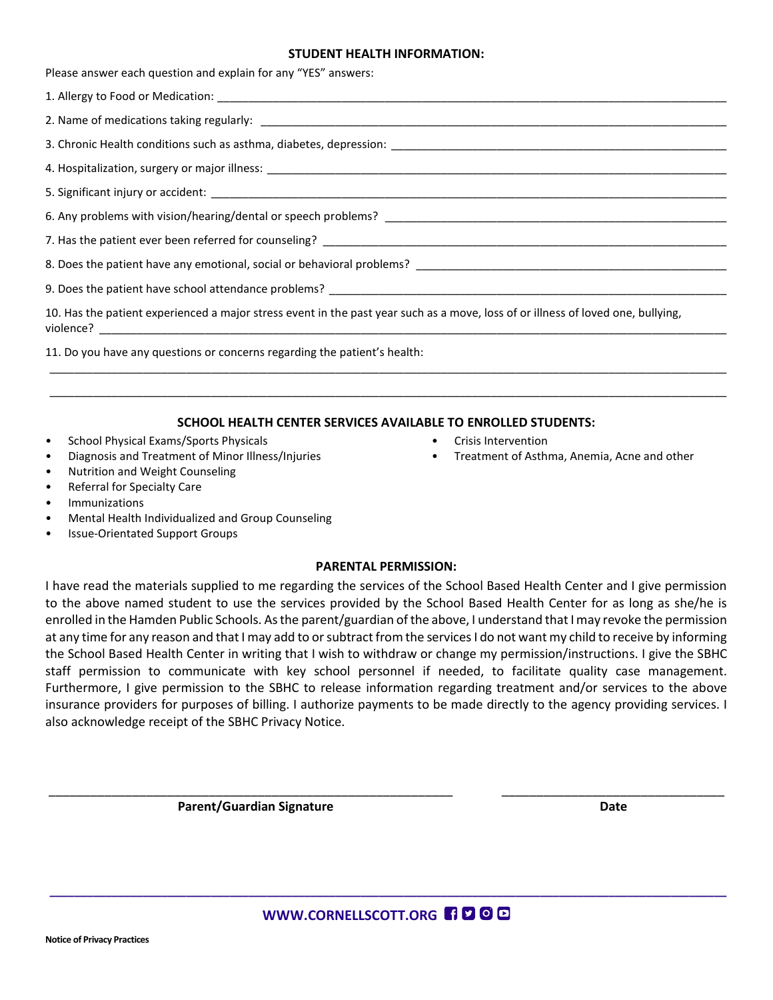### **STUDENT HEALTH INFORMATION:**

| Please answer each question and explain for any "YES" answers:                                                                   |
|----------------------------------------------------------------------------------------------------------------------------------|
|                                                                                                                                  |
|                                                                                                                                  |
|                                                                                                                                  |
|                                                                                                                                  |
|                                                                                                                                  |
|                                                                                                                                  |
|                                                                                                                                  |
|                                                                                                                                  |
|                                                                                                                                  |
| 10. Has the patient experienced a major stress event in the past year such as a move, loss of or illness of loved one, bullying, |
| 11. Do you have any questions or concerns regarding the patient's health:                                                        |

# **SCHOOL HEALTH CENTER SERVICES AVAILABLE TO ENROLLED STUDENTS:**

\_\_\_\_\_\_\_\_\_\_\_\_\_\_\_\_\_\_\_\_\_\_\_\_\_\_\_\_\_\_\_\_\_\_\_\_\_\_\_\_\_\_\_\_\_\_\_\_\_\_\_\_\_\_\_\_\_\_\_\_\_\_\_\_\_\_\_\_\_\_\_\_\_\_\_\_\_\_\_\_\_\_\_\_\_\_\_\_\_\_\_\_\_\_\_\_\_\_\_\_\_\_\_\_\_\_\_\_\_

- School Physical Exams/Sports Physicals Crisis Intervention
- Diagnosis and Treatment of Minor Illness/Injuries Treatment of Asthma, Anemia, Acne and other
- Nutrition and Weight Counseling
- Referral for Specialty Care
- **Immunizations**
- Mental Health Individualized and Group Counseling
- Issue-Orientated Support Groups

### **PARENTAL PERMISSION:**

I have read the materials supplied to me regarding the services of the School Based Health Center and I give permission to the above named student to use the services provided by the School Based Health Center for as long as she/he is enrolled in the Hamden Public Schools. As the parent/guardian of the above, I understand that I may revoke the permission at any time for any reason and that I may add to or subtract from the services I do not want my child to receive by informing the School Based Health Center in writing that I wish to withdraw or change my permission/instructions. I give the SBHC staff permission to communicate with key school personnel if needed, to facilitate quality case management. Furthermore, I give permission to the SBHC to release information regarding treatment and/or services to the above insurance providers for purposes of billing. I authorize payments to be made directly to the agency providing services. I also acknowledge receipt of the SBHC Privacy Notice.

**Parent/Guardian Signature Date** 

**\_\_\_\_\_\_\_\_\_\_\_\_\_\_\_\_\_\_\_\_\_\_\_\_\_\_\_\_\_\_\_\_\_\_\_\_\_\_\_\_\_\_\_\_\_\_\_\_\_\_\_\_\_\_\_\_\_\_\_\_\_\_\_\_\_\_\_\_\_\_\_\_\_\_\_\_\_\_\_\_\_\_\_\_\_\_\_\_\_\_\_\_\_\_\_\_\_\_\_\_\_\_\_\_\_\_\_\_\_ WWW.CORNELLSCOTT.ORG <b>6** 0 0 0

\_\_\_\_\_\_\_\_\_\_\_\_\_\_\_\_\_\_\_\_\_\_\_\_\_\_\_\_\_\_\_\_\_\_\_\_\_\_\_\_\_\_\_\_\_\_\_\_\_\_\_\_\_\_\_\_\_\_ \_\_\_\_\_\_\_\_\_\_\_\_\_\_\_\_\_\_\_\_\_\_\_\_\_\_\_\_\_\_\_\_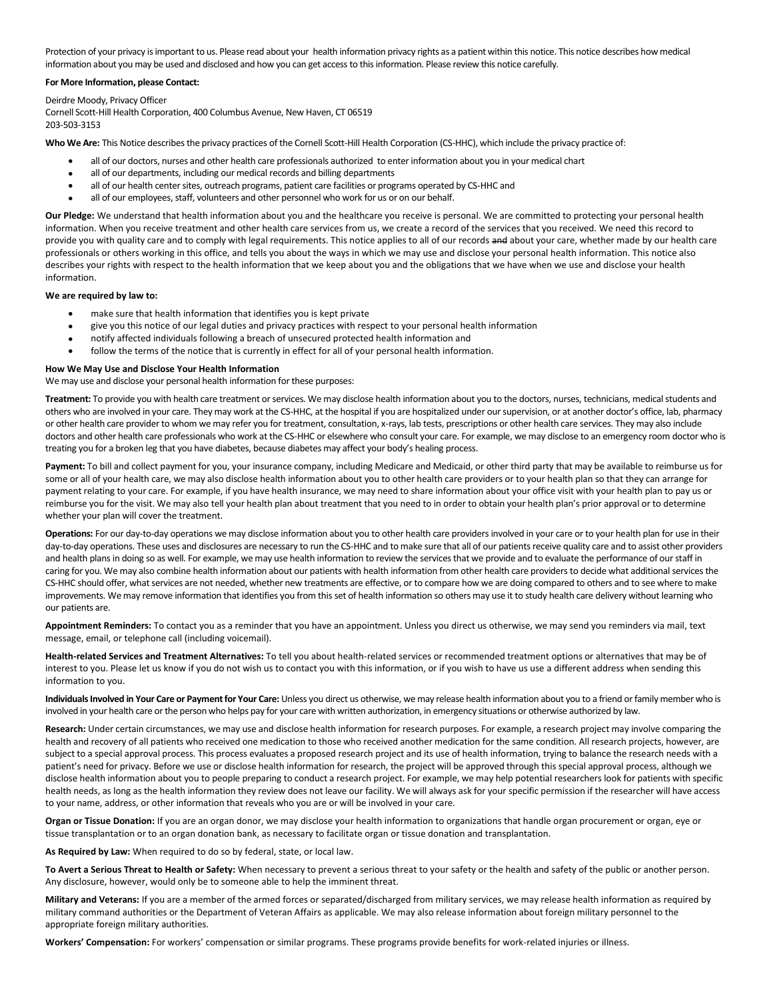Protection of your privacy is important to us. Please read about your health information privacy rights as a patient within this notice. This notice describes how medical information about you may be used and disclosed and how you can get access to this information. Please review this notice carefully.

### **For More Information, please Contact:**

Deirdre Moody, Privacy Officer Cornell Scott-Hill Health Corporation, 400 Columbus Avenue, New Haven, CT 06519 203-503-3153

**Who We Are:** This Notice describes the privacy practices of the Cornell Scott-Hill Health Corporation (CS-HHC), which include the privacy practice of:

- all of our doctors, nurses and other health care professionals authorized to enter information about you in your medical chart
- all of our departments, including our medical records and billing departments
- all of our health center sites, outreach programs, patient care facilities or programs operated by CS-HHC and
- all of our employees, staff, volunteers and other personnel who work for us or on our behalf.

**Our Pledge:** We understand that health information about you and the healthcare you receive is personal. We are committed to protecting your personal health information. When you receive treatment and other health care services from us, we create a record of the services that you received. We need this record to provide you with quality care and to comply with legal requirements. This notice applies to all of our records and about your care, whether made by our health care professionals or others working in this office, and tells you about the ways in which we may use and disclose your personal health information. This notice also describes your rights with respect to the health information that we keep about you and the obligations that we have when we use and disclose your health information.

#### **We are required by law to:**

- make sure that health information that identifies you is kept private
- give you this notice of our legal duties and privacy practices with respect to your personal health information
- notify affected individuals following a breach of unsecured protected health information and
- follow the terms of the notice that is currently in effect for all of your personal health information.

#### **How We May Use and Disclose Your Health Information**

We may use and disclose your personal health information for these purposes:

**Treatment:** To provide you with health care treatment or services. We may disclose health information about you to the doctors, nurses, technicians, medical students and others who are involved in your care. They may work at the CS-HHC, at the hospital if you are hospitalized under our supervision, or at another doctor's office, lab, pharmacy or other health care provider to whom we may refer you for treatment, consultation, x-rays, lab tests, prescriptions or other health care services. They may also include doctors and other health care professionals who work at the CS-HHC or elsewhere who consult your care. For example, we may disclose to an emergency room doctor who is treating you for a broken leg that you have diabetes, because diabetes may affect your body's healing process.

Payment: To bill and collect payment for you, your insurance company, including Medicare and Medicaid, or other third party that may be available to reimburse us for some or all of your health care, we may also disclose health information about you to other health care providers or to your health plan so that they can arrange for payment relating to your care. For example, if you have health insurance, we may need to share information about your office visit with your health plan to pay us or reimburse you for the visit. We may also tell your health plan about treatment that you need to in order to obtain your health plan's prior approval or to determine whether your plan will cover the treatment.

**Operations:** For our day-to-day operations we may disclose information about you to other health care providers involved in your care or to your health plan for use in their day-to-day operations. These uses and disclosures are necessary to run the CS-HHC and to make sure that all of our patients receive quality care and to assist other providers and health plans in doing so as well. For example, we may use health information to review the services that we provide and to evaluate the performance of our staff in caring for you. We may also combine health information about our patients with health information from other health care providers to decide what additional services the CS-HHC should offer, what services are not needed, whether new treatments are effective, or to compare how we are doing compared to others and to see where to make improvements. We may remove information that identifies you from this set of health information so others may use it to study health care delivery without learning who our patients are.

**Appointment Reminders:** To contact you as a reminder that you have an appointment. Unless you direct us otherwise, we may send you reminders via mail, text message, email, or telephone call (including voicemail).

**Health-related Services and Treatment Alternatives:** To tell you about health-related services or recommended treatment options or alternatives that may be of interest to you. Please let us know if you do not wish us to contact you with this information, or if you wish to have us use a different address when sending this information to you.

**Individuals Involved in Your Care or Payment for Your Care:** Unless you direct us otherwise, we may release health information about you to a friend or family member who is involved in your health care or the person who helps pay for your care with written authorization, in emergency situations or otherwise authorized by law.

**Research:** Under certain circumstances, we may use and disclose health information for research purposes. For example, a research project may involve comparing the health and recovery of all patients who received one medication to those who received another medication for the same condition. All research projects, however, are subject to a special approval process. This process evaluates a proposed research project and its use of health information, trying to balance the research needs with a patient's need for privacy. Before we use or disclose health information for research, the project will be approved through this special approval process, although we disclose health information about you to people preparing to conduct a research project. For example, we may help potential researchers look for patients with specific health needs, as long as the health information they review does not leave our facility. We will always ask for your specific permission if the researcher will have access to your name, address, or other information that reveals who you are or will be involved in your care.

**Organ or Tissue Donation:** If you are an organ donor, we may disclose your health information to organizations that handle organ procurement or organ, eye or tissue transplantation or to an organ donation bank, as necessary to facilitate organ or tissue donation and transplantation.

**As Required by Law:** When required to do so by federal, state, or local law.

**To Avert a Serious Threat to Health or Safety:** When necessary to prevent a serious threat to your safety or the health and safety of the public or another person. Any disclosure, however, would only be to someone able to help the imminent threat.

**Military and Veterans:** If you are a member of the armed forces or separated/discharged from military services, we may release health information as required by military command authorities or the Department of Veteran Affairs as applicable. We may also release information about foreign military personnel to the appropriate foreign military authorities.

**Workers' Compensation:** For workers' compensation or similar programs. These programs provide benefits for work-related injuries or illness.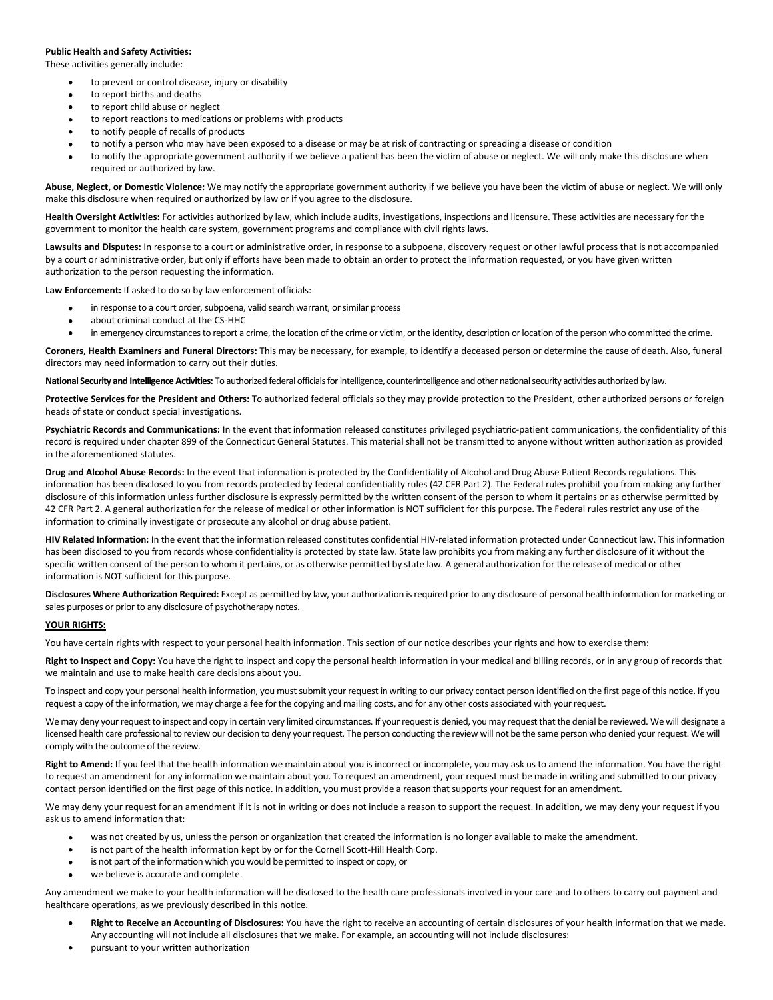### **Public Health and Safety Activities:**

These activities generally include:

- to prevent or control disease, injury or disability
- to report births and deaths
- to report child abuse or neglect
- to report reactions to medications or problems with products
- to notify people of recalls of products
- to notify a person who may have been exposed to a disease or may be at risk of contracting or spreading a disease or condition
- to notify the appropriate government authority if we believe a patient has been the victim of abuse or neglect. We will only make this disclosure when required or authorized by law.

**Abuse, Neglect, or Domestic Violence:** We may notify the appropriate government authority if we believe you have been the victim of abuse or neglect. We will only make this disclosure when required or authorized by law or if you agree to the disclosure.

**Health Oversight Activities:** For activities authorized by law, which include audits, investigations, inspections and licensure. These activities are necessary for the government to monitor the health care system, government programs and compliance with civil rights laws.

**Lawsuits and Disputes:** In response to a court or administrative order, in response to a subpoena, discovery request or other lawful process that is not accompanied by a court or administrative order, but only if efforts have been made to obtain an order to protect the information requested, or you have given written authorization to the person requesting the information.

**Law Enforcement:** If asked to do so by law enforcement officials:

- in response to a court order, subpoena, valid search warrant, or similar process
	- about criminal conduct at the CS-HHC
- in emergency circumstances to report a crime, the location of the crime or victim, or the identity, description or location of the person who committed the crime.

**Coroners, Health Examiners and Funeral Directors:** This may be necessary, for example, to identify a deceased person or determine the cause of death. Also, funeral directors may need information to carry out their duties.

**National Security and Intelligence Activities:** To authorized federal officials for intelligence, counterintelligence and other national security activities authorized by law.

**Protective Services for the President and Others:** To authorized federal officials so they may provide protection to the President, other authorized persons or foreign heads of state or conduct special investigations.

**Psychiatric Records and Communications:** In the event that information released constitutes privileged psychiatric-patient communications, the confidentiality of this record is required under chapter 899 of the Connecticut General Statutes. This material shall not be transmitted to anyone without written authorization as provided in the aforementioned statutes.

**Drug and Alcohol Abuse Records:** In the event that information is protected by the Confidentiality of Alcohol and Drug Abuse Patient Records regulations. This information has been disclosed to you from records protected by federal confidentiality rules (42 CFR Part 2). The Federal rules prohibit you from making any further disclosure of this information unless further disclosure is expressly permitted by the written consent of the person to whom it pertains or as otherwise permitted by 42 CFR Part 2. A general authorization for the release of medical or other information is NOT sufficient for this purpose. The Federal rules restrict any use of the information to criminally investigate or prosecute any alcohol or drug abuse patient.

**HIV Related Information:** In the event that the information released constitutes confidential HIV-related information protected under Connecticut law. This information has been disclosed to you from records whose confidentiality is protected by state law. State law prohibits you from making any further disclosure of it without the specific written consent of the person to whom it pertains, or as otherwise permitted by state law. A general authorization for the release of medical or other information is NOT sufficient for this purpose.

**Disclosures Where Authorization Required:** Except as permitted by law, your authorization is required prior to any disclosure of personal health information for marketing or sales purposes or prior to any disclosure of psychotherapy notes.

### **YOUR RIGHTS:**

You have certain rights with respect to your personal health information. This section of our notice describes your rights and how to exercise them:

Right to Inspect and Copy: You have the right to inspect and copy the personal health information in your medical and billing records, or in any group of records that we maintain and use to make health care decisions about you.

To inspect and copy your personal health information, you must submit your request in writing to our privacy contact person identified on the first page of this notice. If you request a copy of the information, we may charge a fee for the copying and mailing costs, and for any other costs associated with your request.

We may deny your request to inspect and copy in certain very limited circumstances. If your request is denied, you may request that the denial be reviewed. We will designate a licensed health care professional to review our decision to deny your request. The person conducting the review will not be the same person who denied your request. We will comply with the outcome of the review.

**Right to Amend:** If you feel that the health information we maintain about you is incorrect or incomplete, you may ask us to amend the information. You have the right to request an amendment for any information we maintain about you. To request an amendment, your request must be made in writing and submitted to our privacy contact person identified on the first page of this notice. In addition, you must provide a reason that supports your request for an amendment.

We may deny your request for an amendment if it is not in writing or does not include a reason to support the request. In addition, we may deny your request if you ask us to amend information that:

- was not created by us, unless the person or organization that created the information is no longer available to make the amendment.
- is not part of the health information kept by or for the Cornell Scott-Hill Health Corp.
- is not part of the information which you would be permitted to inspect or copy, or
- we believe is accurate and complete.

Any amendment we make to your health information will be disclosed to the health care professionals involved in your care and to others to carry out payment and healthcare operations, as we previously described in this notice.

- **Right to Receive an Accounting of Disclosures:** You have the right to receive an accounting of certain disclosures of your health information that we made. Any accounting will not include all disclosures that we make. For example, an accounting will not include disclosures:
- pursuant to your written authorization